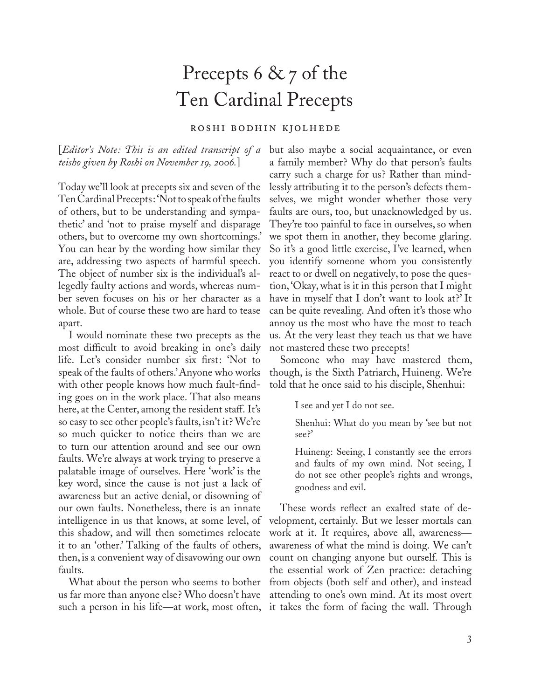## Precepts 6 & 7 of the Ten Cardinal Precepts

## roshi bodhin kjolhede

[*Editor's Note : This is an edited transcript of a teisho given by Roshi on November 19, 2006.*]

Today we'll look at precepts six and seven of the Ten Cardinal Precepts : 'Not to speak of the faults of others, but to be understanding and sympathetic' and 'not to praise myself and disparage others, but to overcome my own shortcomings.' You can hear by the wording how similar they are, addressing two aspects of harmful speech. The object of number six is the individual's allegedly faulty actions and words, whereas number seven focuses on his or her character as a whole. But of course these two are hard to tease apart.

I would nominate these two precepts as the most difficult to avoid breaking in one's daily life. Let's consider number six first: 'Not to speak of the faults of others.' Anyone who works with other people knows how much fault-finding goes on in the work place. That also means here, at the Center, among the resident staff. It's so easy to see other people's faults, isn't it? We're so much quicker to notice theirs than we are to turn our attention around and see our own faults. We're always at work trying to preserve a palatable image of ourselves. Here 'work' is the key word, since the cause is not just a lack of awareness but an active denial, or disowning of our own faults. Nonetheless, there is an innate intelligence in us that knows, at some level, of this shadow, and will then sometimes relocate it to an 'other.' Talking of the faults of others, then, is a convenient way of disavowing our own faults.

such a person in his life—at work, most often, it takes the form of facing the wall. Through

but also maybe a social acquaintance, or even a family member? Why do that person's faults carry such a charge for us? Rather than mindlessly attributing it to the person's defects themselves, we might wonder whether those very faults are ours, too, but unacknowledged by us. They're too painful to face in ourselves, so when we spot them in another, they become glaring. So it's a good little exercise, I've learned, when you identify someone whom you consistently react to or dwell on negatively, to pose the question, 'Okay, what is it in this person that I might have in myself that I don't want to look at?' It can be quite revealing. And often it's those who annoy us the most who have the most to teach us. At the very least they teach us that we have not mastered these two precepts!

Someone who may have mastered them, though, is the Sixth Patriarch, Huineng. We're told that he once said to his disciple, Shenhui:

I see and yet I do not see.

Shenhui: What do you mean by 'see but not see?'

Huineng: Seeing, I constantly see the errors and faults of my own mind. Not seeing, I do not see other people's rights and wrongs, goodness and evil.

What about the person who seems to bother from objects (both self and other), and instead us far more than anyone else? Who doesn't have attending to one's own mind. At its most overt These words reflect an exalted state of development, certainly. But we lesser mortals can work at it. It requires, above all, awareness awareness of what the mind is doing. We can't count on changing anyone but ourself. This is the essential work of Zen practice: detaching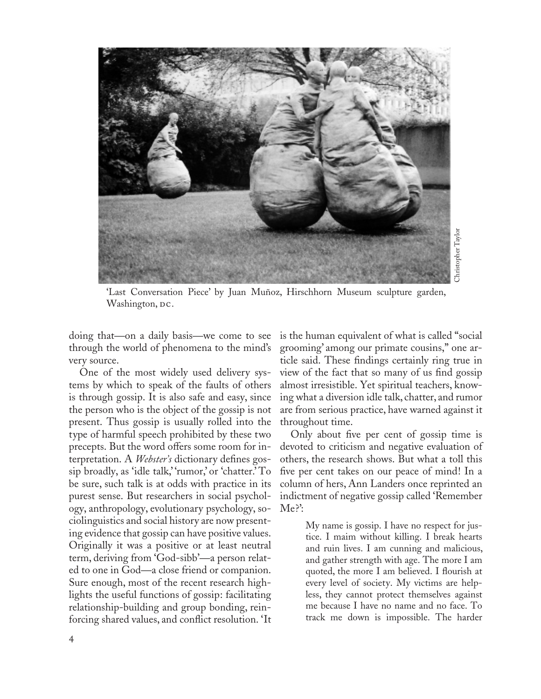

'Last Conversation Piece' by Juan Muñoz, Hirschhorn Museum sculpture garden, Washington, DC.

doing that—on a daily basis—we come to see through the world of phenomena to the mind's very source.

One of the most widely used delivery systems by which to speak of the faults of others is through gossip. It is also safe and easy, since the person who is the object of the gossip is not present. Thus gossip is usually rolled into the type of harmful speech prohibited by these two precepts. But the word offers some room for interpretation. A *Webster's* dictionary defines gossip broadly, as 'idle talk,' 'rumor,' or 'chatter.' To be sure, such talk is at odds with practice in its purest sense. But researchers in social psychology, anthropology, evolutionary psychology, sociolinguistics and social history are now presenting evidence that gossip can have positive values. Originally it was a positive or at least neutral term, deriving from 'God-sibb'—a person related to one in God—a close friend or companion. Sure enough, most of the recent research highlights the useful functions of gossip: facilitating relationship-building and group bonding, reinforcing shared values, and conflict resolution. 'It

is the human equivalent of what is called "social grooming' among our primate cousins," one article said. These findings certainly ring true in view of the fact that so many of us find gossip almost irresistible. Yet spiritual teachers, knowing what a diversion idle talk, chatter, and rumor are from serious practice, have warned against it throughout time.

Only about five per cent of gossip time is devoted to criticism and negative evaluation of others, the research shows. But what a toll this five per cent takes on our peace of mind! In a column of hers, Ann Landers once reprinted an indictment of negative gossip called 'Remember Me?':

My name is gossip. I have no respect for justice. I maim without killing. I break hearts and ruin lives. I am cunning and malicious, and gather strength with age. The more I am quoted, the more I am believed. I flourish at every level of society. My victims are helpless, they cannot protect themselves against me because I have no name and no face. To is the figure of the model of the harder the harder of the harder mendover in the harder mendover in the fact that so many of us find gossip it irresistible. Yet spiritual teachers, know-<br>and. These findings certainly ring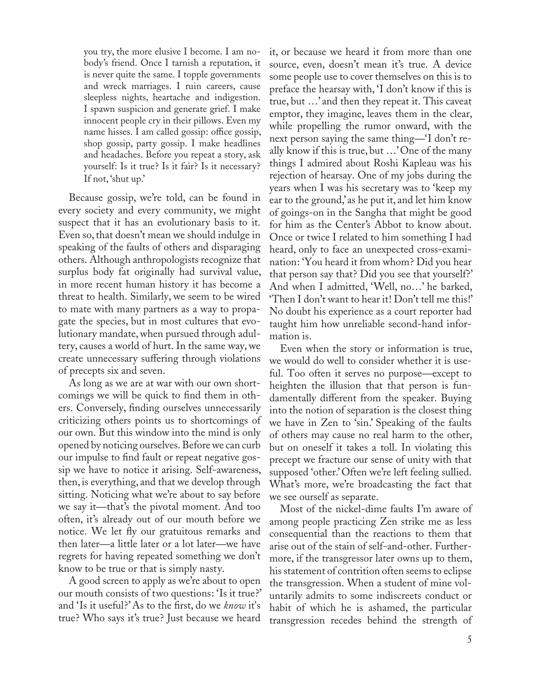you try, the more elusive I become. I am nobody's friend. Once I tarnish a reputation, it is never quite the same. I topple governments and wreck marriages. I ruin careers, cause sleepless nights, heartache and indigestion. I spawn suspicion and generate grief. I make innocent people cry in their pillows. Even my name hisses. I am called gossip: office gossip, shop gossip, party gossip. I make headlines and headaches. Before you repeat a story, ask yourself: Is it true? Is it fair? Is it necessary? If not, 'shut up.'

Because gossip, we're told, can be found in every society and every community, we might suspect that it has an evolutionary basis to it. Even so, that doesn't mean we should indulge in speaking of the faults of others and disparaging others. Although anthropologists recognize that surplus body fat originally had survival value, in more recent human history it has become a threat to health. Similarly, we seem to be wired to mate with many partners as a way to propagate the species, but in most cultures that evolutionary mandate, when pursued through adultery, causes a world of hurt. In the same way, we create unnecessary suffering through violations of precepts six and seven.

As long as we are at war with our own shortcomings we will be quick to find them in others. Conversely, finding ourselves unnecessarily criticizing others points us to shortcomings of our own. But this window into the mind is only opened by noticing ourselves. Before we can curb our impulse to find fault or repeat negative gossip we have to notice it arising. Self-awareness, then, is everything, and that we develop through sitting. Noticing what we're about to say before we say it—that's the pivotal moment. And too often, it's already out of our mouth before we notice. We let fly our gratuitous remarks and then later—a little later or a lot later—we have regrets for having repeated something we don't know to be true or that is simply nasty.

A good screen to apply as we're about to open our mouth consists of two questions: 'Is it true?' and 'Is it useful?' As to the first, do we *know* it's true? Who says it's true? Just because we heard

it, or because we heard it from more than one source, even, doesn't mean it's true. A device some people use to cover themselves on this is to preface the hearsay with, 'I don't know if this is true, but …' and then they repeat it. This caveat emptor, they imagine, leaves them in the clear, while propelling the rumor onward, with the next person saying the same thing—'I don't really know if this is true, but …' One of the many things I admired about Roshi Kapleau was his rejection of hearsay. One of my jobs during the years when I was his secretary was to 'keep my ear to the ground,' as he put it, and let him know of goings-on in the Sangha that might be good for him as the Center's Abbot to know about. Once or twice I related to him something I had heard, only to face an unexpected cross-examination: 'You heard it from whom? Did you hear that person say that? Did you see that yourself?' And when I admitted, 'Well, no…' he barked, 'Then I don't want to hear it! Don't tell me this!' No doubt his experience as a court reporter had taught him how unreliable second-hand information is.

Even when the story or information is true, we would do well to consider whether it is useful. Too often it serves no purpose—except to heighten the illusion that that person is fundamentally different from the speaker. Buying into the notion of separation is the closest thing we have in Zen to 'sin.' Speaking of the faults of others may cause no real harm to the other, but on oneself it takes a toll. In violating this precept we fracture our sense of unity with that supposed 'other.' Often we're left feeling sullied. What's more, we're broadcasting the fact that we see ourself as separate.

Most of the nickel-dime faults I'm aware of among people practicing Zen strike me as less consequential than the reactions to them that arise out of the stain of self-and-other. Furthermore, if the transgressor later owns up to them, his statement of contrition often seems to eclipse the transgression. When a student of mine voluntarily admits to some indiscreets conduct or habit of which he is ashamed, the particular transgression recedes behind the strength of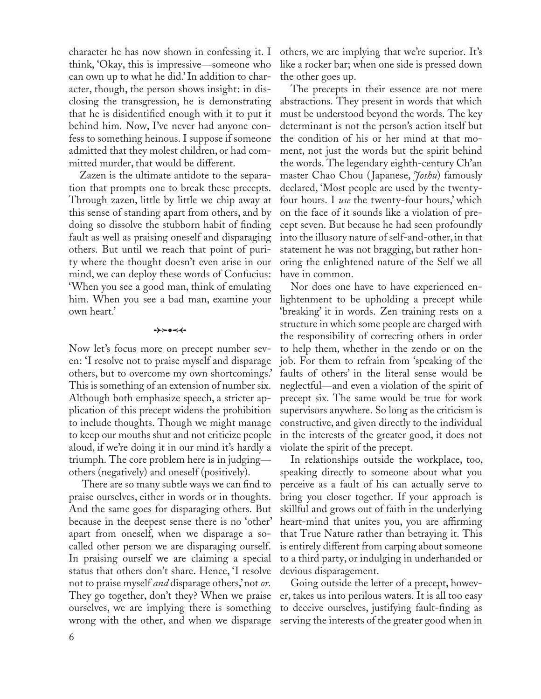character he has now shown in confessing it. I think, 'Okay, this is impressive—someone who can own up to what he did.' In addition to character, though, the person shows insight: in disclosing the transgression, he is demonstrating that he is disidentified enough with it to put it behind him. Now, I've never had anyone confess to something heinous. I suppose if someone admitted that they molest children, or had committed murder, that would be different.

Zazen is the ultimate antidote to the separation that prompts one to break these precepts. Through zazen, little by little we chip away at this sense of standing apart from others, and by doing so dissolve the stubborn habit of finding fault as well as praising oneself and disparaging others. But until we reach that point of purity where the thought doesn't even arise in our mind, we can deploy these words of Confucius: 'When you see a good man, think of emulating him. When you see a bad man, examine your own heart.'

0c-

Now let's focus more on precept number seven: 'I resolve not to praise myself and disparage others, but to overcome my own shortcomings.' This is something of an extension of number six. Although both emphasize speech, a stricter application of this precept widens the prohibition to include thoughts. Though we might manage to keep our mouths shut and not criticize people aloud, if we're doing it in our mind it's hardly a triumph. The core problem here is in judging others (negatively) and oneself (positively).

 There are so many subtle ways we can find to praise ourselves, either in words or in thoughts. And the same goes for disparaging others. But because in the deepest sense there is no 'other' apart from oneself, when we disparage a socalled other person we are disparaging ourself. In praising ourself we are claiming a special status that others don't share. Hence, 'I resolve not to praise myself *and* disparage others,' not *or.* They go together, don't they? When we praise ourselves, we are implying there is something wrong with the other, and when we disparage

others, we are implying that we're superior. It's like a rocker bar; when one side is pressed down the other goes up.

The precepts in their essence are not mere abstractions. They present in words that which must be understood beyond the words. The key determinant is not the person's action itself but the condition of his or her mind at that moment, not just the words but the spirit behind the words. The legendary eighth-century Ch'an master Chao Chou (Japanese, *Joshu*) famously declared, 'Most people are used by the twentyfour hours. I *use* the twenty-four hours,' which on the face of it sounds like a violation of precept seven. But because he had seen profoundly into the illusory nature of self-and-other, in that statement he was not bragging, but rather honoring the enlightened nature of the Self we all have in common.

Nor does one have to have experienced enlightenment to be upholding a precept while 'breaking' it in words. Zen training rests on a structure in which some people are charged with the responsibility of correcting others in order to help them, whether in the zendo or on the job. For them to refrain from 'speaking of the faults of others' in the literal sense would be neglectful—and even a violation of the spirit of precept six. The same would be true for work supervisors anywhere. So long as the criticism is constructive, and given directly to the individual in the interests of the greater good, it does not violate the spirit of the precept.

In relationships outside the workplace, too, speaking directly to someone about what you perceive as a fault of his can actually serve to bring you closer together. If your approach is skillful and grows out of faith in the underlying heart-mind that unites you, you are affirming that True Nature rather than betraying it. This is entirely different from carping about someone to a third party, or indulging in underhanded or devious disparagement.

Going outside the letter of a precept, however, takes us into perilous waters. It is all too easy to deceive ourselves, justifying fault-finding as serving the interests of the greater good when in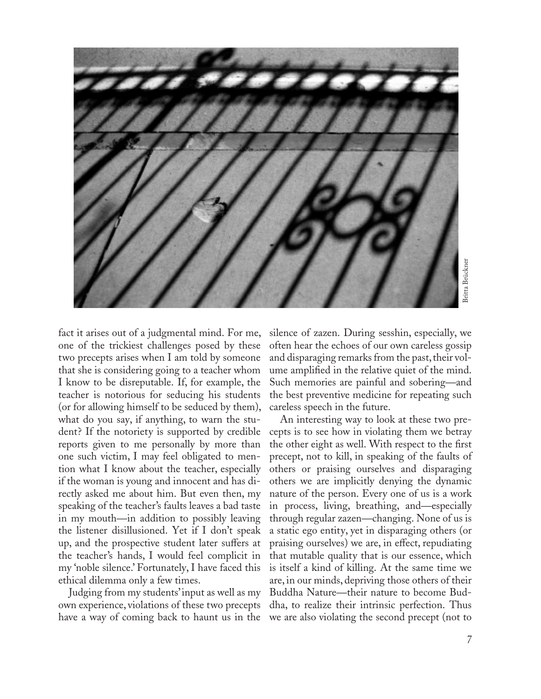

fact it arises out of a judgmental mind. For me, one of the trickiest challenges posed by these two precepts arises when I am told by someone that she is considering going to a teacher whom I know to be disreputable. If, for example, the teacher is notorious for seducing his students (or for allowing himself to be seduced by them), what do you say, if anything, to warn the student? If the notoriety is supported by credible reports given to me personally by more than one such victim, I may feel obligated to mention what I know about the teacher, especially if the woman is young and innocent and has directly asked me about him. But even then, my speaking of the teacher's faults leaves a bad taste in my mouth—in addition to possibly leaving the listener disillusioned. Yet if I don't speak up, and the prospective student later suffers at the teacher's hands, I would feel complicit in my 'noble silence.' Fortunately, I have faced this ethical dilemma only a few times.

Judging from my students' input as well as my own experience, violations of these two precepts have a way of coming back to haunt us in the

silence of zazen. During sesshin, especially, we often hear the echoes of our own careless gossip and disparaging remarks from the past, their volume amplified in the relative quiet of the mind. Such memories are painful and sobering—and the best preventive medicine for repeating such careless speech in the future.

an alternation of the state of the state of the state of the state of the state of the state of the state of the state of the state of the state of the state of the state of the state of the state of the state of the state An interesting way to look at these two precepts is to see how in violating them we betray the other eight as well. With respect to the first precept, not to kill, in speaking of the faults of others or praising ourselves and disparaging others we are implicitly denying the dynamic nature of the person. Every one of us is a work in process, living, breathing, and—especially through regular zazen—changing. None of us is a static ego entity, yet in disparaging others (or praising ourselves) we are, in effect, repudiating that mutable quality that is our essence, which is itself a kind of killing. At the same time we are, in our minds, depriving those others of their Buddha Nature—their nature to become Buddha, to realize their intrinsic perfection. Thus we are also violating the second precept (not to